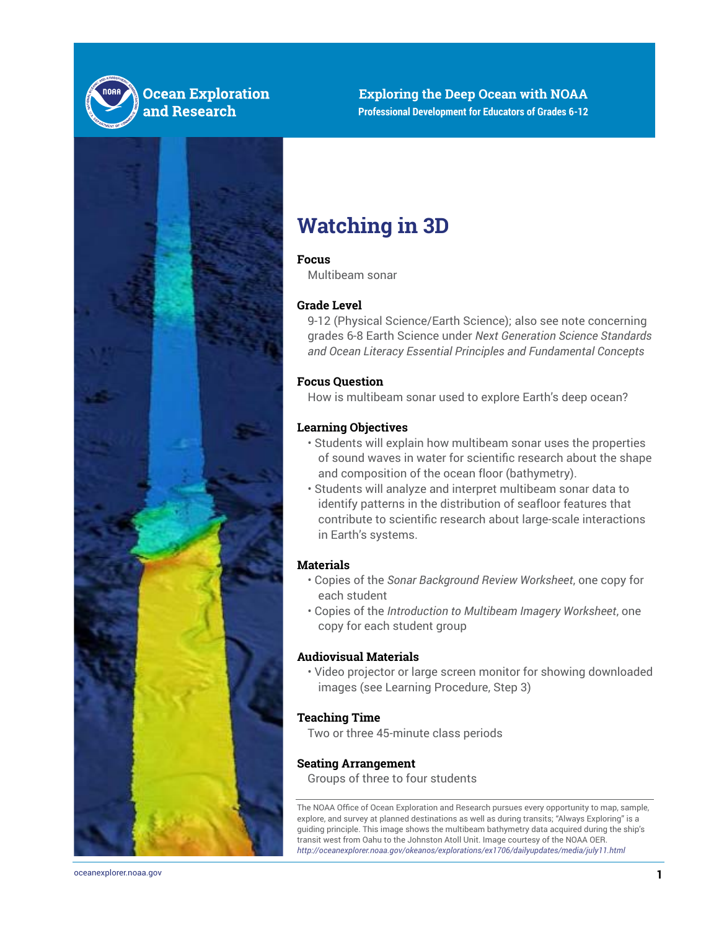



# **Watching in 3D**

### **Focus**

Multibeam sonar

## **Grade Level**

9-12 (Physical Science/Earth Science); also see note concerning grades 6-8 Earth Science under *Next Generation Science Standards and Ocean Literacy Essential Principles and Fundamental Concepts*

## **Focus Question**

How is multibeam sonar used to explore Earth's deep ocean?

### **Learning Objectives**

- Students will explain how multibeam sonar uses the properties of sound waves in water for scientific research about the shape and composition of the ocean floor (bathymetry).
- Students will analyze and interpret multibeam sonar data to identify patterns in the distribution of seafloor features that contribute to scientific research about large-scale interactions in Earth's systems.

## **Materials**

- Copies of the *Sonar Background Review Worksheet*, one copy for each student
- Copies of the *Introduction to Multibeam Imagery Worksheet*, one copy for each student group

## **Audiovisual Materials**

• Video projector or large screen monitor for showing downloaded images (see Learning Procedure, Step 3)

#### **Teaching Time**

Two or three 45-minute class periods

#### **Seating Arrangement**

Groups of three to four students

The NOAA Office of Ocean Exploration and Research pursues every opportunity to map, sample, explore, and survey at planned destinations as well as during transits; "Always Exploring" is a guiding principle. This image shows the multibeam bathymetry data acquired during the ship's transit west from Oahu to the Johnston Atoll Unit. Image courtesy of the NOAA OER. *<http://oceanexplorer.noaa.gov/okeanos/explorations/ex1706/dailyupdates/media/july11.html>*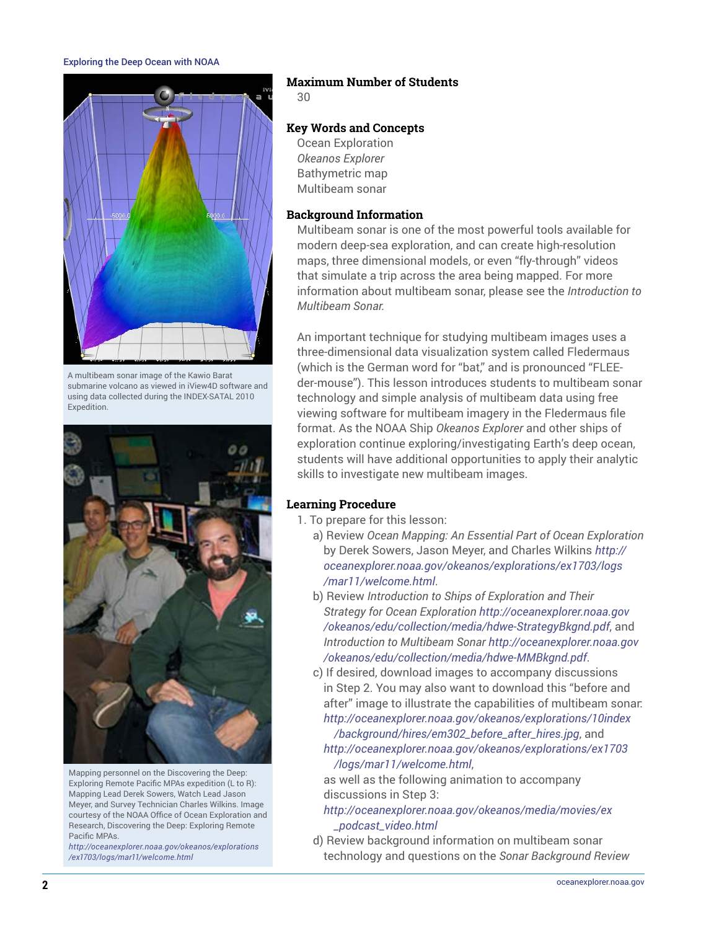

A multibeam sonar image of the Kawio Barat submarine volcano as viewed in iView4D software and using data collected during the INDEX-SATAL 2010 **Expedition** 



Mapping personnel on the Discovering the Deep: Exploring Remote Pacific MPAs expedition (L to R): Mapping Lead Derek Sowers, Watch Lead Jason Meyer, and Survey Technician Charles Wilkins. Image courtesy of the NOAA Office of Ocean Exploration and Research, Discovering the Deep: Exploring Remote Pacific MPAs.

*[http://oceanexplorer.noaa.gov/okeanos/explorations](http://oceanexplorer.noaa.gov/okeanos/explorations/ex1703/logs/mar11/welcome.html) [/ex1703/logs/mar11/welcome.html](http://oceanexplorer.noaa.gov/okeanos/explorations/ex1703/logs/mar11/welcome.html)*

## **Maximum Number of Students**

30

## **Key Words and Concepts**

Ocean Exploration *Okeanos Explorer* Bathymetric map Multibeam sonar

### **Background Information**

Multibeam sonar is one of the most powerful tools available for modern deep-sea exploration, and can create high-resolution maps, three dimensional models, or even "fly-through" videos that simulate a trip across the area being mapped. For more information about multibeam sonar, please see the *Introduction to Multibeam Sonar.*

An important technique for studying multibeam images uses a three-dimensional data visualization system called Fledermaus (which is the German word for "bat," and is pronounced "FLEEder-mouse"). This lesson introduces students to multibeam sonar technology and simple analysis of multibeam data using free viewing software for multibeam imagery in the Fledermaus file format. As the NOAA Ship *Okeanos Explorer* and other ships of exploration continue exploring/investigating Earth's deep ocean, students will have additional opportunities to apply their analytic skills to investigate new multibeam images.

## **Learning Procedure**

- 1. To prepare for this lesson:
	- a) Review *Ocean Mapping: An Essential Part of Ocean Exploration* by Derek Sowers, Jason Meyer, and Charles Wilkins *[http://](http://oceanexplorer.noaa.gov/okeanos/explorations/ex1703/logs/mar11/welcome.html) [oceanexplorer.noaa.gov/okeanos/explorations/ex1703/logs](http://oceanexplorer.noaa.gov/okeanos/explorations/ex1703/logs/mar11/welcome.html) [/mar11/welcome.html](http://oceanexplorer.noaa.gov/okeanos/explorations/ex1703/logs/mar11/welcome.html)*.
	- b) Review *Introduction to Ships of Exploration and Their Strategy for Ocean Exploration [http://oceanexplorer.noaa.gov](http://oceanexplorer.noaa.gov/okeanos/edu/collection/media/hdwe-StrategyBkgnd.pdf) [/okeanos/edu/collection/media/hdwe-StrategyBkgnd.pdf](http://oceanexplorer.noaa.gov/okeanos/edu/collection/media/hdwe-StrategyBkgnd.pdf)*, and *Introduction to Multibeam Sonar [http://oceanexplorer.noaa.gov](http://oceanexplorer.noaa.gov/okeanos/edu/collection/media/hdwe-MMBkgnd.pdf) [/okeanos/edu/collection/media/hdwe-MMBkgnd.pdf](http://oceanexplorer.noaa.gov/okeanos/edu/collection/media/hdwe-MMBkgnd.pdf)*.
	- c) If desired, download images to accompany discussions in Step 2. You may also want to download this "before and after" image to illustrate the capabilities of multibeam sonar:
		- *[http://oceanexplorer.noaa.gov/okeanos/explorations/10index](http://oceanexplorer.noaa.gov/okeanos/explorations/10index/background/hires/em302_before_after_hires.jpg) [/background/hires/em302\\_before\\_after\\_hires.jpg](http://oceanexplorer.noaa.gov/okeanos/explorations/10index/background/hires/em302_before_after_hires.jpg)*, and *[http://oceanexplorer.noaa.gov/okeanos/explorations/ex1703](http://oceanexplorer.noaa.gov/okeanos/explorations/ex1703/logs/mar11/welcome.html)*

*[/logs/mar11/welcome.html](http://oceanexplorer.noaa.gov/okeanos/explorations/ex1703/logs/mar11/welcome.html)*, as well as the following animation to accompany discussions in Step 3:

- *[http://oceanexplorer.noaa.gov/okeanos/media/movies/ex](http://oceanexplorer.noaa.gov/okeanos/media/movies/ex_podcast_video.html) [\\_podcast\\_video.html](http://oceanexplorer.noaa.gov/okeanos/media/movies/ex_podcast_video.html)*
- d) Review background information on multibeam sonar technology and questions on the *Sonar Background Review*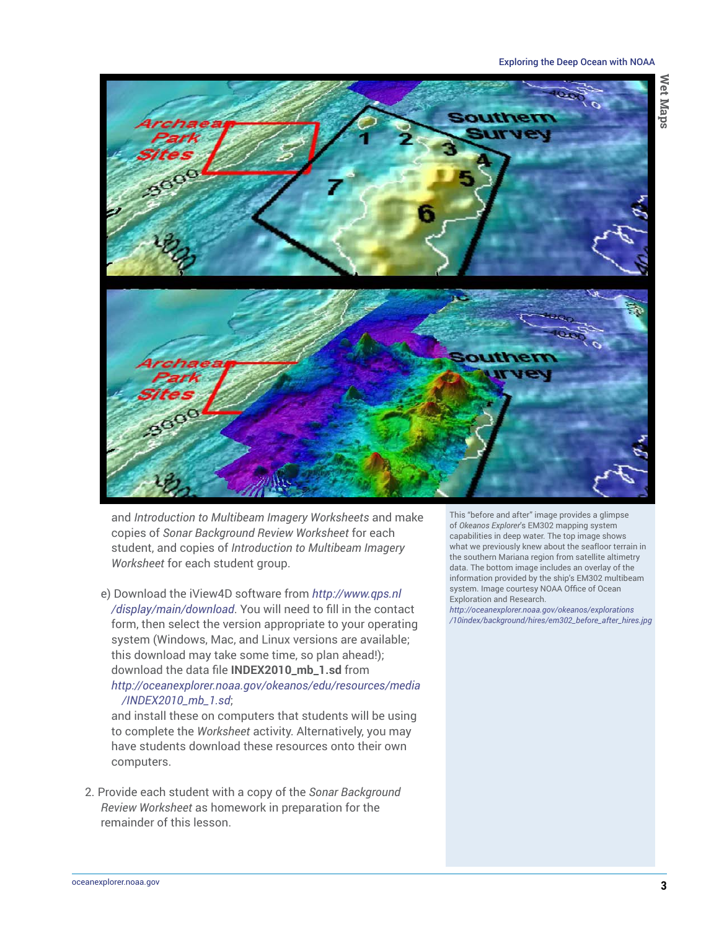

and *Introduction to Multibeam Imagery Worksheets* and make copies of *Sonar Background Review Worksheet* for each student, and copies of *Introduction to Multibeam Imagery Worksheet* for each student group.

e) Download the iView4D software from *[http://www.qps.nl](http://www.qps.nl/display/main/download) [/display/main/download](http://www.qps.nl/display/main/download)*. You will need to fill in the contact form, then select the version appropriate to your operating system (Windows, Mac, and Linux versions are available; this download may take some time, so plan ahead!); download the data file **INDEX2010\_mb\_1.sd** from *[http://oceanexplorer.noaa.gov/okeanos/edu/resources/media](http://oceanexplorer.noaa.gov/okeanos/edu/resources/media/INDEX2010_mb_1.sd) [/INDEX2010\\_mb\\_1.sd](http://oceanexplorer.noaa.gov/okeanos/edu/resources/media/INDEX2010_mb_1.sd)*;

and install these on computers that students will be using to complete the *Worksheet* activity. Alternatively, you may have students download these resources onto their own computers.

2. Provide each student with a copy of the *Sonar Background Review Worksheet* as homework in preparation for the remainder of this lesson.

This "before and after" image provides a glimpse of *Okeanos Explorer*'s EM302 mapping system capabilities in deep water. The top image shows what we previously knew about the seafloor terrain in the southern Mariana region from satellite altimetry data. The bottom image includes an overlay of the information provided by the ship's EM302 multibeam system. Image courtesy NOAA Office of Ocean Exploration and Research.

*[http://oceanexplorer.noaa.gov/okeanos/explorations](http://oceanexplorer.noaa.gov/okeanos/explorations/10index/background/hires/em302_before_after_hires.jpg) [/10index/background/hires/em302\\_before\\_after\\_hires.jpg](http://oceanexplorer.noaa.gov/okeanos/explorations/10index/background/hires/em302_before_after_hires.jpg)*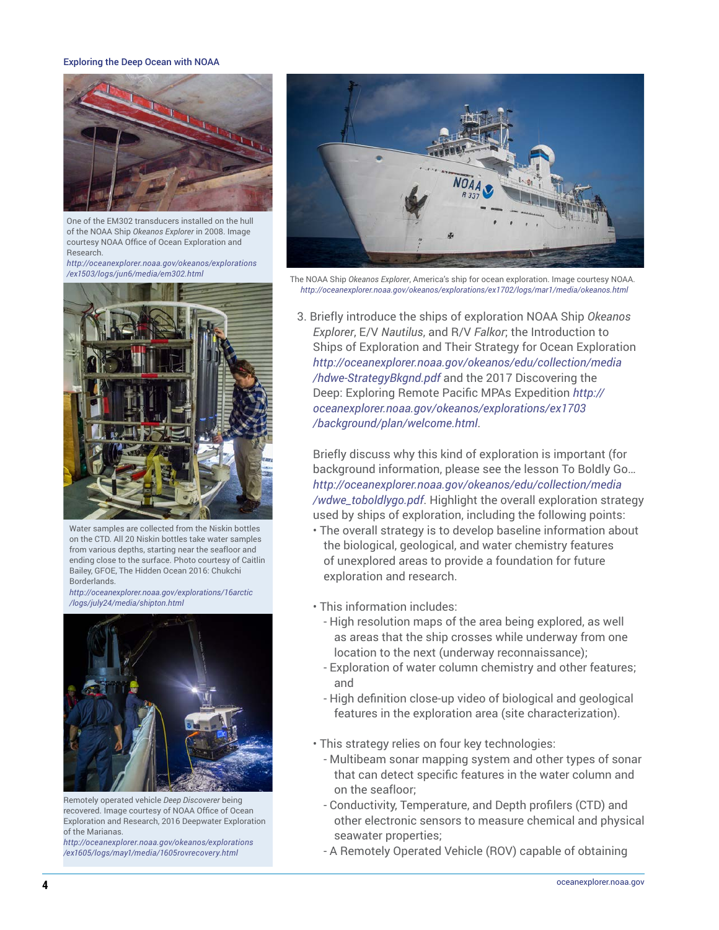

One of the EM302 transducers installed on the hull of the NOAA Ship *Okeanos Explorer* in 2008. Image courtesy NOAA Office of Ocean Exploration and Research.

*[http://oceanexplorer.noaa.gov/okeanos/explorations](http://oceanexplorer.noaa.gov/okeanos/explorations/ex1503/logs/jun6/media/em302.html) [/ex1503/logs/jun6/media/em302.html](http://oceanexplorer.noaa.gov/okeanos/explorations/ex1503/logs/jun6/media/em302.html)*



Water samples are collected from the Niskin bottles on the CTD. All 20 Niskin bottles take water samples from various depths, starting near the seafloor and ending close to the surface. Photo courtesy of Caitlin Bailey, GFOE, The Hidden Ocean 2016: Chukchi Borderlands.

*[http://oceanexplorer.noaa.gov/explorations/16arctic](http://oceanexplorer.noaa.gov/explorations/16arctic/logs/july24/media/shipton.html) [/logs/july24/media/shipton.html](http://oceanexplorer.noaa.gov/explorations/16arctic/logs/july24/media/shipton.html)*



Remotely operated vehicle *Deep Discoverer* being recovered. Image courtesy of NOAA Office of Ocean Exploration and Research, 2016 Deepwater Exploration of the Marianas.

*[http://oceanexplorer.noaa.gov/okeanos/explorations](http://oceanexplorer.noaa.gov/okeanos/explorations/ex1605/logs/may1/media/1605rovrecovery.html) [/ex1605/logs/may1/media/1605rovrecovery.html](http://oceanexplorer.noaa.gov/okeanos/explorations/ex1605/logs/may1/media/1605rovrecovery.html)*



The NOAA Ship *Okeanos Explorer*, America's ship for ocean exploration. Image courtesy NOAA. *<http://oceanexplorer.noaa.gov/okeanos/explorations/ex1702/logs/mar1/media/okeanos.html>*

3. Briefly introduce the ships of exploration NOAA Ship *Okeanos Explorer*, E/V *Nautilus*, and R/V *Falkor*; the Introduction to Ships of Exploration and Their Strategy for Ocean Exploration *[http://oceanexplorer.noaa.gov/okeanos/edu/collection/media](http://oceanexplorer.noaa.gov/okeanos/edu/collection/media/hdwe-StrategyBkgnd.pdf) [/hdwe-StrategyBkgnd.pdf](http://oceanexplorer.noaa.gov/okeanos/edu/collection/media/hdwe-StrategyBkgnd.pdf)* and the 2017 Discovering the Deep: Exploring Remote Pacific MPAs Expedition *[http://](http://oceanexplorer.noaa.gov/okeanos/explorations/ex1703/background/plan/welcome.html) [oceanexplorer.noaa.gov/okeanos/explorations/ex1703](http://oceanexplorer.noaa.gov/okeanos/explorations/ex1703/background/plan/welcome.html) [/background/plan/welcome.html](http://oceanexplorer.noaa.gov/okeanos/explorations/ex1703/background/plan/welcome.html)*.

Briefly discuss why this kind of exploration is important (for background information, please see the lesson To Boldly Go… *[http://oceanexplorer.noaa.gov/okeanos/edu/collection/media](http://oceanexplorer.noaa.gov/okeanos/edu/collection/media/wdwe_toboldlygo.pdf) [/wdwe\\_toboldlygo.pdf](http://oceanexplorer.noaa.gov/okeanos/edu/collection/media/wdwe_toboldlygo.pdf)*. Highlight the overall exploration strategy used by ships of exploration, including the following points:

- The overall strategy is to develop baseline information about the biological, geological, and water chemistry features of unexplored areas to provide a foundation for future exploration and research.
- This information includes:
	- High resolution maps of the area being explored, as well as areas that the ship crosses while underway from one location to the next (underway reconnaissance);
	- Exploration of water column chemistry and other features; and
	- High definition close-up video of biological and geological features in the exploration area (site characterization).
- This strategy relies on four key technologies:
	- Multibeam sonar mapping system and other types of sonar that can detect specific features in the water column and on the seafloor;
	- Conductivity, Temperature, and Depth profilers (CTD) and other electronic sensors to measure chemical and physical seawater properties;
	- A Remotely Operated Vehicle (ROV) capable of obtaining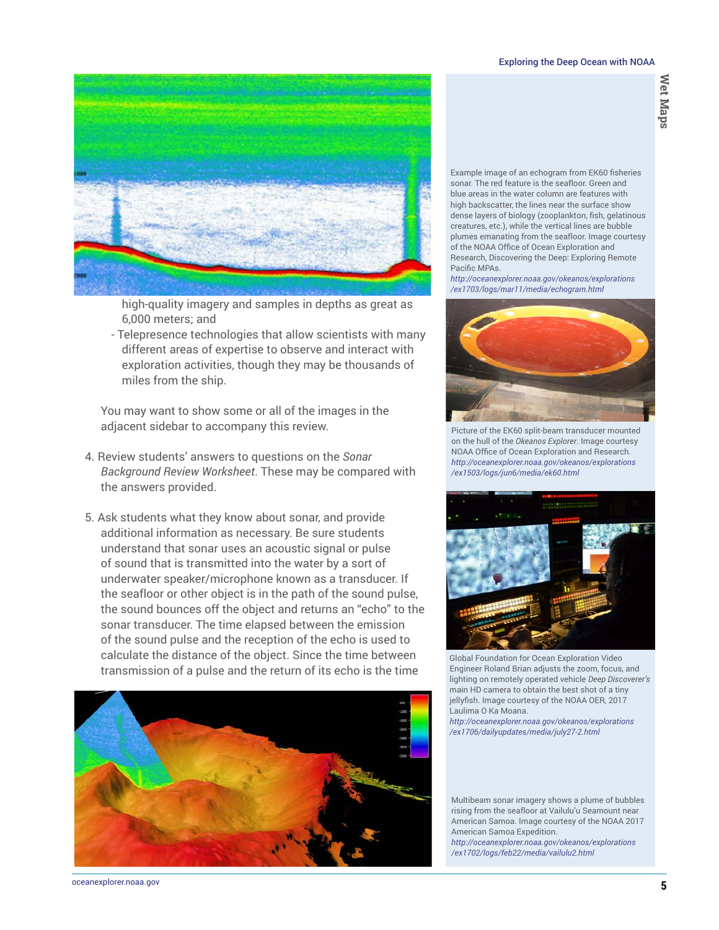

high-quality imagery and samples in depths as great as 6,000 meters; and

- Telepresence technologies that allow scientists with many different areas of expertise to observe and interact with exploration activities, though they may be thousands of miles from the ship.

You may want to show some or all of the images in the adjacent sidebar to accompany this review.

- 4. Review students' answers to questions on the *Sonar Background Review Worksheet*. These may be compared with the answers provided.
- 5. Ask students what they know about sonar, and provide additional information as necessary. Be sure students understand that sonar uses an acoustic signal or pulse of sound that is transmitted into the water by a sort of underwater speaker/microphone known as a transducer. If the seafloor or other object is in the path of the sound pulse, the sound bounces off the object and returns an "echo" to the sonar transducer. The time elapsed between the emission of the sound pulse and the reception of the echo is used to calculate the distance of the object. Since the time between transmission of a pulse and the return of its echo is the time



Example image of an echogram from EK60 fisheries sonar. The red feature is the seafloor. Green and blue areas in the water column are features with high backscatter, the lines near the surface show dense layers of biology (zooplankton, fish, gelatinous creatures, etc.), while the vertical lines are bubble plumes emanating from the seafloor. Image courtesy of the NOAA Office of Ocean Exploration and Research, Discovering the Deep: Exploring Remote Pacific MPAs.

*[http://oceanexplorer.noaa.gov/okeanos/explorations](http://oceanexplorer.noaa.gov/okeanos/explorations/ex1703/logs/mar11/media/echogram.html) [/ex1703/logs/mar11/media/echogram.html](http://oceanexplorer.noaa.gov/okeanos/explorations/ex1703/logs/mar11/media/echogram.html)*



Picture of the EK60 split-beam transducer mounted on the hull of the *Okeanos Explorer*. Image courtesy NOAA Office of Ocean Exploration and Research. *[http://oceanexplorer.noaa.gov/okeanos/explorations](http://oceanexplorer.noaa.gov/okeanos/explorations/ex1503/logs/jun6/media/ek60.html) [/ex1503/logs/jun6/media/ek60.html](http://oceanexplorer.noaa.gov/okeanos/explorations/ex1503/logs/jun6/media/ek60.html)*



Global Foundation for Ocean Exploration Video Engineer Roland Brian adjusts the zoom, focus, and lighting on remotely operated vehicle *Deep Discoverer's* main HD camera to obtain the best shot of a tiny jellyfish. Image courtesy of the NOAA OER, 2017 Laulima O Ka Moana. *[http://oceanexplorer.noaa.gov/okeanos/explorations](http://oceanexplorer.noaa.gov/okeanos/explorations/ex1706/dailyupdates/media/july27-2.html) [/ex1706/dailyupdates/media/july27-2.html](http://oceanexplorer.noaa.gov/okeanos/explorations/ex1706/dailyupdates/media/july27-2.html)*

Multibeam sonar imagery shows a plume of bubbles rising from the seafloor at Vailulu'u Seamount near American Samoa. Image courtesy of the NOAA 2017 American Samoa Expedition. *[http://oceanexplorer.noaa.gov/okeanos/explorations](http://oceanexplorer.noaa.gov/okeanos/explorations/ex1702/logs/feb22/media/vailulu2.html)*

*[/ex1702/logs/feb22/media/vailulu2.html](http://oceanexplorer.noaa.gov/okeanos/explorations/ex1702/logs/feb22/media/vailulu2.html)*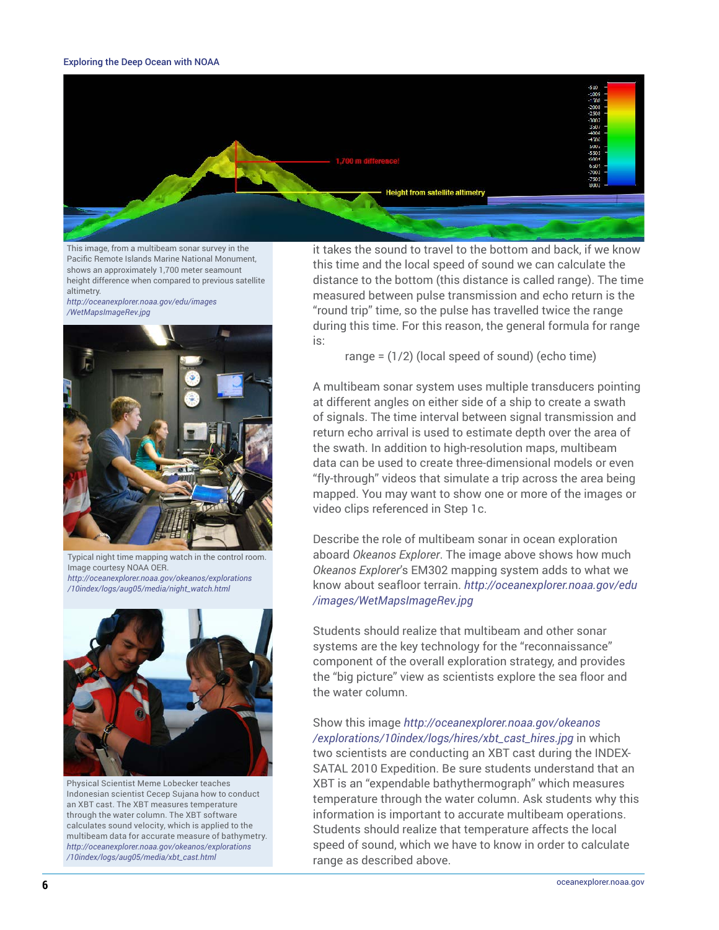

This image, from a multibeam sonar survey in the Pacific Remote Islands Marine National Monument, shows an approximately 1,700 meter seamount height difference when compared to previous satellite altimetry.

*[http://oceanexplorer.noaa.gov/edu/images](http://oceanexplorer.noaa.gov/edu/images/WetMapsImageRev.jpg) [/WetMapsImageRev.jpg](http://oceanexplorer.noaa.gov/edu/images/WetMapsImageRev.jpg)*



Typical night time mapping watch in the control room. Image courtesy NOAA OER. *[http://oceanexplorer.noaa.gov/okeanos/explorations](http://oceanexplorer.noaa.gov/okeanos/explorations/10index/logs/aug05/media/night_watch.html) [/10index/logs/aug05/media/night\\_watch.html](http://oceanexplorer.noaa.gov/okeanos/explorations/10index/logs/aug05/media/night_watch.html)*



Physical Scientist Meme Lobecker teaches Indonesian scientist Cecep Sujana how to conduct an XBT cast. The XBT measures temperature through the water column. The XBT software calculates sound velocity, which is applied to the multibeam data for accurate measure of bathymetry. *[http://oceanexplorer.noaa.gov/okeanos/explorations](http://oceanexplorer.noaa.gov/okeanos/explorations/10index/logs/aug05/media/xbt_cast.html) [/10index/logs/aug05/media/xbt\\_cast.html](http://oceanexplorer.noaa.gov/okeanos/explorations/10index/logs/aug05/media/xbt_cast.html)*

it takes the sound to travel to the bottom and back, if we know this time and the local speed of sound we can calculate the distance to the bottom (this distance is called range). The time measured between pulse transmission and echo return is the "round trip" time, so the pulse has travelled twice the range during this time. For this reason, the general formula for range is:

range =  $(1/2)$  (local speed of sound) (echo time)

A multibeam sonar system uses multiple transducers pointing at different angles on either side of a ship to create a swath of signals. The time interval between signal transmission and return echo arrival is used to estimate depth over the area of the swath. In addition to high-resolution maps, multibeam data can be used to create three-dimensional models or even "fly-through" videos that simulate a trip across the area being mapped. You may want to show one or more of the images or video clips referenced in Step 1c.

Describe the role of multibeam sonar in ocean exploration aboard *Okeanos Explorer*. The image above shows how much *Okeanos Explorer*'s EM302 mapping system adds to what we know about seafloor terrain. *[http://oceanexplorer.noaa.gov/edu](http://oceanexplorer.noaa.gov/edu/images/WetMapsImageRev.jpg) [/images/WetMapsImageRev.jpg](http://oceanexplorer.noaa.gov/edu/images/WetMapsImageRev.jpg)*

Students should realize that multibeam and other sonar systems are the key technology for the "reconnaissance" component of the overall exploration strategy, and provides the "big picture" view as scientists explore the sea floor and the water column.

Show this image *[http://oceanexplorer.noaa.gov/okeanos](http://oceanexplorer.noaa.gov/okeanos/explorations/10index/logs/hires/xbt_cast_hires.jpg) [/explorations/10index/logs/hires/xbt\\_cast\\_hires.jpg](http://oceanexplorer.noaa.gov/okeanos/explorations/10index/logs/hires/xbt_cast_hires.jpg)* in which two scientists are conducting an XBT cast during the INDEX-SATAL 2010 Expedition. Be sure students understand that an XBT is an "expendable bathythermograph" which measures temperature through the water column. Ask students why this information is important to accurate multibeam operations. Students should realize that temperature affects the local speed of sound, which we have to know in order to calculate range as described above.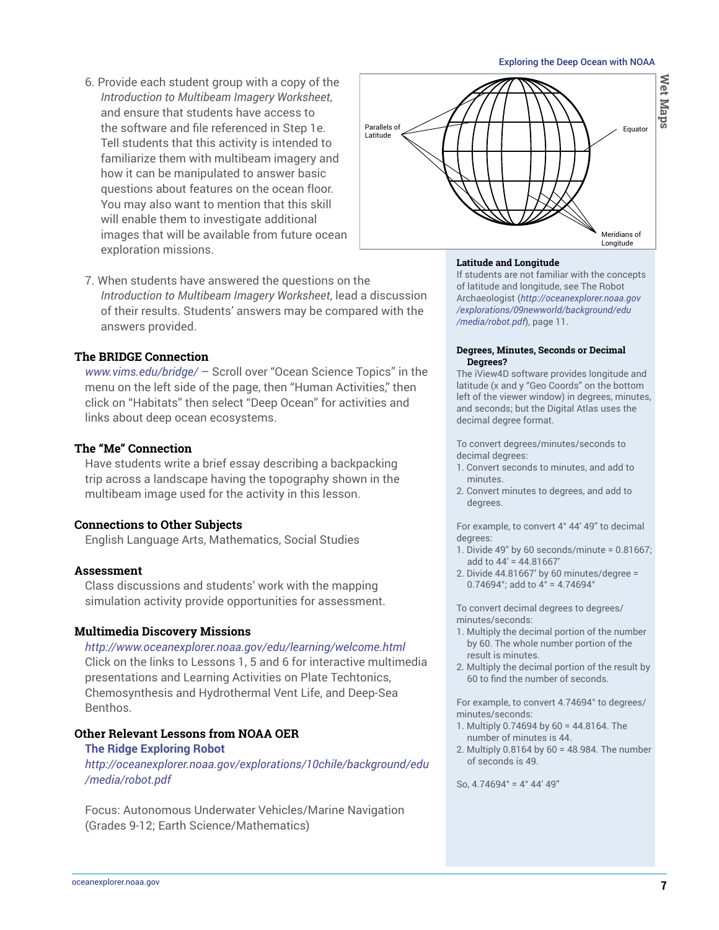- 6. Provide each student group with a copy of the *Introduction to Multibeam Imagery Worksheet*, and ensure that students have access to the software and file referenced in Step 1e. Tell students that this activity is intended to familiarize them with multibeam imagery and how it can be manipulated to answer basic questions about features on the ocean floor. You may also want to mention that this skill will enable them to investigate additional images that will be available from future ocean exploration missions.
- 7. When students have answered the questions on the *Introduction to Multibeam Imagery Worksheet*, lead a discussion of their results. Students' answers may be compared with the answers provided.

## **The BRIDGE Connection**

*[www.vims.edu/bridge/](http://www.vims.edu/bridge/)* – Scroll over "Ocean Science Topics" in the menu on the left side of the page, then "Human Activities," then click on "Habitats" then select "Deep Ocean" for activities and links about deep ocean ecosystems.

## **The "Me" Connection**

Have students write a brief essay describing a backpacking trip across a landscape having the topography shown in the multibeam image used for the activity in this lesson.

#### **Connections to Other Subjects**

English Language Arts, Mathematics, Social Studies

### **Assessment**

Class discussions and students' work with the mapping simulation activity provide opportunities for assessment.

#### **Multimedia Discovery Missions**

*<http://www.oceanexplorer.noaa.gov/edu/learning/welcome.html>* Click on the links to Lessons 1, 5 and 6 for interactive multimedia presentations and Learning Activities on Plate Techtonics, Chemosynthesis and Hydrothermal Vent Life, and Deep-Sea Benthos.

## **Other Relevant Lessons from NOAA OER**

#### **The Ridge Exploring Robot**

*[http://oceanexplorer.noaa.gov/explorations/10chile/background/edu](http://oceanexplorer.noaa.gov/explorations/10chile/background/edu/media/robot.pdf) [/media/robot.pdf](http://oceanexplorer.noaa.gov/explorations/10chile/background/edu/media/robot.pdf)*

Focus: Autonomous Underwater Vehicles/Marine Navigation (Grades 9-12; Earth Science/Mathematics)



#### **Latitude and Longitude**

If students are not familiar with the concepts of latitude and longitude, see The Robot Archaeologist (*[http://oceanexplorer.noaa.gov](http://oceanexplorer.noaa.gov/explorations/09newworld/background/edu/media/robot.pdf) [/explorations/09newworld/background/edu](http://oceanexplorer.noaa.gov/explorations/09newworld/background/edu/media/robot.pdf) [/media/robot.pdf](http://oceanexplorer.noaa.gov/explorations/09newworld/background/edu/media/robot.pdf)*), page 11.

#### **Degrees, Minutes, Seconds or Decimal Degrees?**

The iView4D software provides longitude and latitude (x and y "Geo Coords" on the bottom left of the viewer window) in degrees, minutes, and seconds; but the Digital Atlas uses the decimal degree format.

To convert degrees/minutes/seconds to decimal degrees:

- 1. Convert seconds to minutes, and add to minutes.
- 2. Convert minutes to degrees, and add to degrees.

For example, to convert 4° 44' 49" to decimal degrees:

- 1. Divide 49" by 60 seconds/minute = 0.81667; add to 44' = 44.81667'
- 2. Divide 44.81667' by 60 minutes/degree = 0.74694°; add to 4° = 4.74694°

To convert decimal degrees to degrees/ minutes/seconds:

- 1. Multiply the decimal portion of the number by 60. The whole number portion of the result is minutes.
- 2. Multiply the decimal portion of the result by 60 to find the number of seconds.

For example, to convert 4.74694° to degrees/ minutes/seconds:

- 1. Multiply 0.74694 by 60 = 44.8164. The number of minutes is 44.
- 2. Multiply 0.8164 by 60 = 48.984. The number of seconds is 49.

So, 4.74694° = 4° 44' 49"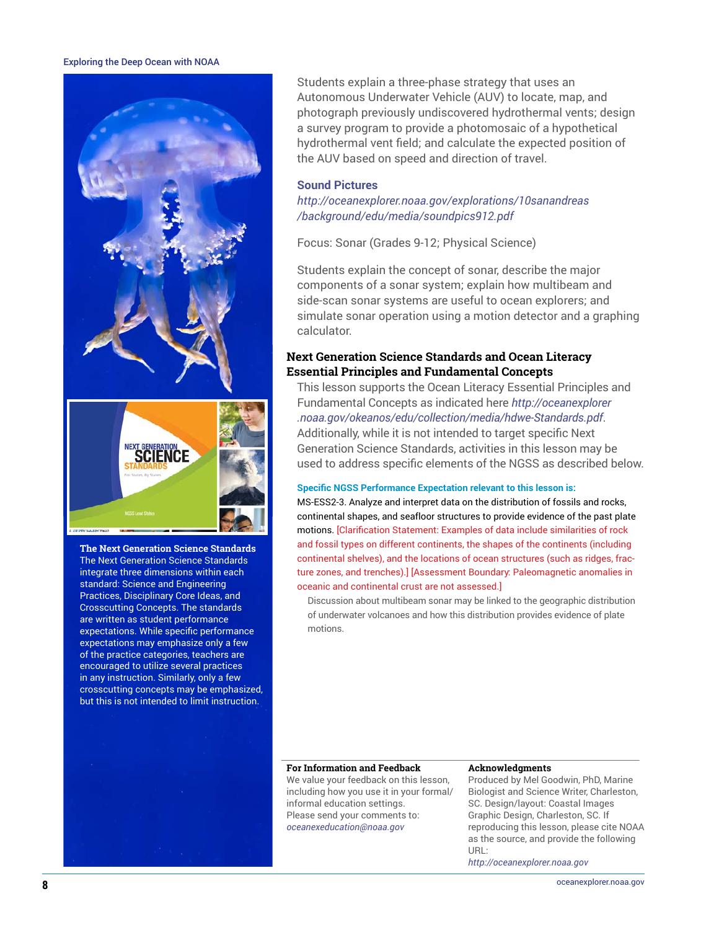

**The Next Generation Science Standards** The Next Generation Science Standards integrate three dimensions within each standard: Science and Engineering Practices, Disciplinary Core Ideas, and Crosscutting Concepts. The standards are written as student performance expectations. While specific performance expectations may emphasize only a few of the practice categories, teachers are encouraged to utilize several practices in any instruction. Similarly, only a few crosscutting concepts may be emphasized, but this is not intended to limit instruction.

Students explain a three-phase strategy that uses an Autonomous Underwater Vehicle (AUV) to locate, map, and photograph previously undiscovered hydrothermal vents; design a survey program to provide a photomosaic of a hypothetical hydrothermal vent field; and calculate the expected position of the AUV based on speed and direction of travel.

#### **Sound Pictures**

*[http://oceanexplorer.noaa.gov/explorations/10sanandreas](http://oceanexplorer.noaa.gov/explorations/10sanandreas/background/edu/media/soundpics912.pdf) [/background/edu/media/soundpics912.pdf](http://oceanexplorer.noaa.gov/explorations/10sanandreas/background/edu/media/soundpics912.pdf)*

Focus: Sonar (Grades 9-12; Physical Science)

Students explain the concept of sonar, describe the major components of a sonar system; explain how multibeam and side-scan sonar systems are useful to ocean explorers; and simulate sonar operation using a motion detector and a graphing calculator.

## **Next Generation Science Standards and Ocean Literacy Essential Principles and Fundamental Concepts**

This lesson supports the Ocean Literacy Essential Principles and Fundamental Concepts as indicated here *[http://oceanexplorer](http://oceanexplorer.noaa.gov/okeanos/edu/collection/media/hdwe-Standards.pdf) [.noaa.gov/okeanos/edu/collection/media/hdwe-Standards.pdf](http://oceanexplorer.noaa.gov/okeanos/edu/collection/media/hdwe-Standards.pdf)*. Additionally, while it is not intended to target specific Next Generation Science Standards, activities in this lesson may be used to address specific elements of the NGSS as described below.

#### **Specific NGSS Performance Expectation relevant to this lesson is:**

MS-ESS2-3. Analyze and interpret data on the distribution of fossils and rocks, continental shapes, and seafloor structures to provide evidence of the past plate motions. [Clarification Statement: Examples of data include similarities of rock and fossil types on different continents, the shapes of the continents (including continental shelves), and the locations of ocean structures (such as ridges, fracture zones, and trenches).] [Assessment Boundary: Paleomagnetic anomalies in oceanic and continental crust are not assessed.]

Discussion about multibeam sonar may be linked to the geographic distribution of underwater volcanoes and how this distribution provides evidence of plate motions.

#### **For Information and Feedback**

We value your feedback on this lesson, including how you use it in your formal/ informal education settings. Please send your comments to: *oceanexeducation[@noaa.gov](mailto:oceanexplorer.noaa.gov?subject=Feedback)*

#### **Acknowledgments**

Produced by Mel Goodwin, PhD, Marine Biologist and Science Writer, Charleston, SC. Design/layout: Coastal Images Graphic Design, Charleston, SC. If reproducing this lesson, please cite NOAA as the source, and provide the following URL:

*<http://oceanexplorer.noaa.gov>*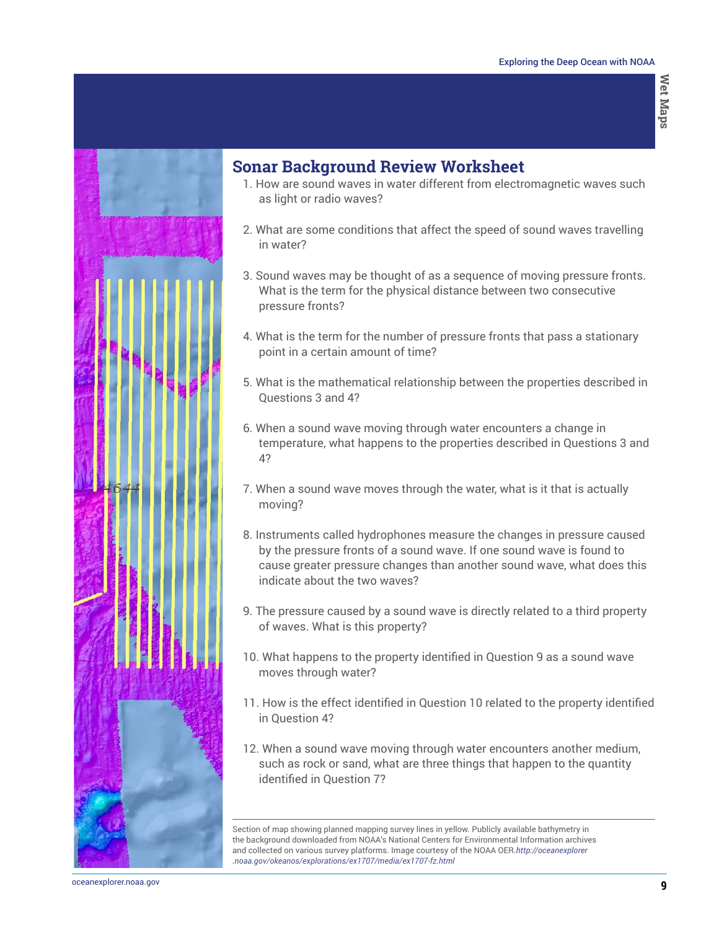

## **Sonar Background Review Worksheet**

- 1. How are sound waves in water different from electromagnetic waves such as light or radio waves?
- 2. What are some conditions that affect the speed of sound waves travelling in water?
- 3. Sound waves may be thought of as a sequence of moving pressure fronts. What is the term for the physical distance between two consecutive pressure fronts?
- 4. What is the term for the number of pressure fronts that pass a stationary point in a certain amount of time?
- 5. What is the mathematical relationship between the properties described in Questions 3 and 4?
- 6. When a sound wave moving through water encounters a change in temperature, what happens to the properties described in Questions 3 and 4?
- 7. When a sound wave moves through the water, what is it that is actually moving?
- 8. Instruments called hydrophones measure the changes in pressure caused by the pressure fronts of a sound wave. If one sound wave is found to cause greater pressure changes than another sound wave, what does this indicate about the two waves?
- 9. The pressure caused by a sound wave is directly related to a third property of waves. What is this property?
- 10. What happens to the property identified in Question 9 as a sound wave moves through water?
- 11. How is the effect identified in Question 10 related to the property identified in Question 4?
- 12. When a sound wave moving through water encounters another medium, such as rock or sand, what are three things that happen to the quantity identified in Question 7?

Section of map showing planned mapping survey lines in yellow. Publicly available bathymetry in the background downloaded from NOAA's National Centers for Environmental Information archives and collected on various survey platforms. Image courtesy of the NOAA OER.*[http://oceanexplorer](http://oceanexplorer.noaa.gov/okeanos/explorations/ex1707/media/ex1707-fz.html) [.noaa.gov/okeanos/explorations/ex1707/media/ex1707-fz.html](http://oceanexplorer.noaa.gov/okeanos/explorations/ex1707/media/ex1707-fz.html)*

**9** [oceanexplorer.noaa.gov](http://oceanexplorer.noaa.gov)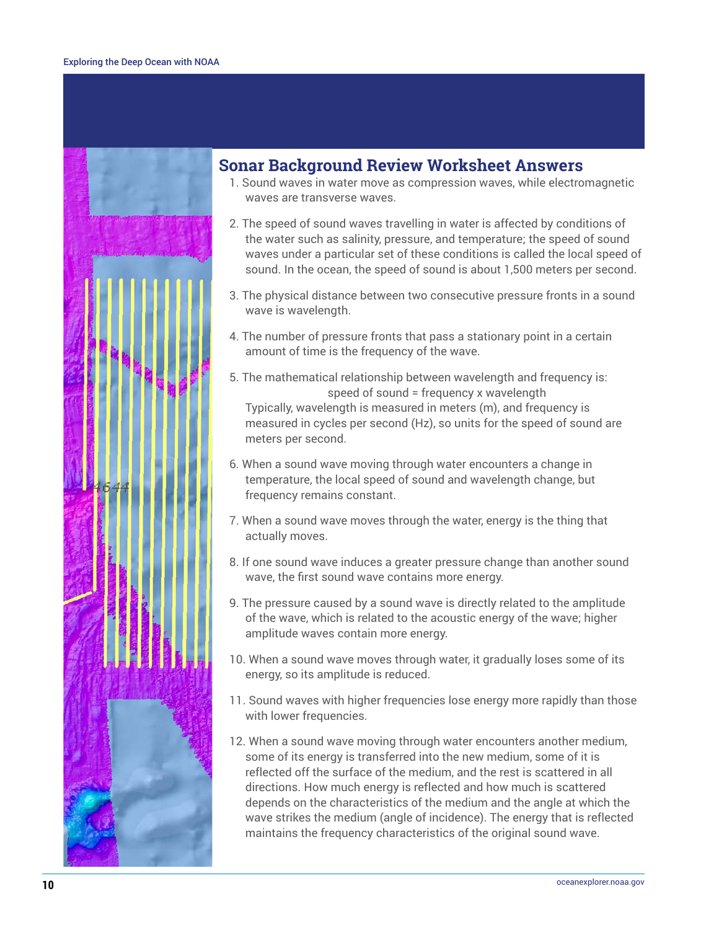

## **Sonar Background Review Worksheet Answers**

- 1. Sound waves in water move as compression waves, while electromagnetic waves are transverse waves.
- 2. The speed of sound waves travelling in water is affected by conditions of the water such as salinity, pressure, and temperature; the speed of sound waves under a particular set of these conditions is called the local speed of sound. In the ocean, the speed of sound is about 1,500 meters per second.
- 3. The physical distance between two consecutive pressure fronts in a sound wave is wavelength.
- 4. The number of pressure fronts that pass a stationary point in a certain amount of time is the frequency of the wave.
- 5. The mathematical relationship between wavelength and frequency is: speed of sound = frequency x wavelength Typically, wavelength is measured in meters (m), and frequency is measured in cycles per second (Hz), so units for the speed of sound are meters per second.
- 6. When a sound wave moving through water encounters a change in temperature, the local speed of sound and wavelength change, but frequency remains constant.
- 7. When a sound wave moves through the water, energy is the thing that actually moves.
- 8. If one sound wave induces a greater pressure change than another sound wave, the first sound wave contains more energy.
- 9. The pressure caused by a sound wave is directly related to the amplitude of the wave, which is related to the acoustic energy of the wave; higher amplitude waves contain more energy.
- 10. When a sound wave moves through water, it gradually loses some of its energy, so its amplitude is reduced.
- 11. Sound waves with higher frequencies lose energy more rapidly than those with lower frequencies.
- 12. When a sound wave moving through water encounters another medium, some of its energy is transferred into the new medium, some of it is reflected off the surface of the medium, and the rest is scattered in all directions. How much energy is reflected and how much is scattered depends on the characteristics of the medium and the angle at which the wave strikes the medium (angle of incidence). The energy that is reflected maintains the frequency characteristics of the original sound wave.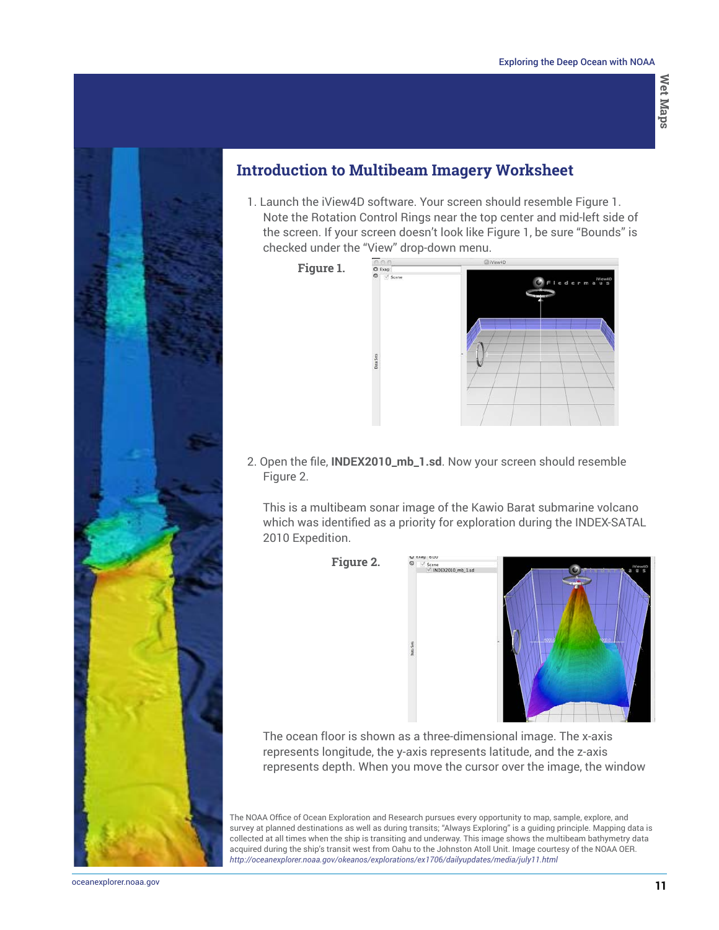

## **Introduction to Multibeam Imagery Worksheet**

1. Launch the iView4D software. Your screen should resemble Figure 1. Note the Rotation Control Rings near the top center and mid-left side of the screen. If your screen doesn't look like Figure 1, be sure "Bounds" is checked under the "View" drop-down menu.

**Figure 1.**



2. Open the file, **INDEX2010\_mb\_1.sd**. Now your screen should resemble Figure 2.

This is a multibeam sonar image of the Kawio Barat submarine volcano which was identified as a priority for exploration during the INDEX-SATAL 2010 Expedition.





The ocean floor is shown as a three-dimensional image. The x-axis represents longitude, the y-axis represents latitude, and the z-axis represents depth. When you move the cursor over the image, the window

The NOAA Office of Ocean Exploration and Research pursues every opportunity to map, sample, explore, and survey at planned destinations as well as during transits; "Always Exploring" is a guiding principle. Mapping data is collected at all times when the ship is transiting and underway. This image shows the multibeam bathymetry data acquired during the ship's transit west from Oahu to the Johnston Atoll Unit. Image courtesy of the NOAA OER. *<http://oceanexplorer.noaa.gov/okeanos/explorations/ex1706/dailyupdates/media/july11.html>*

**11** [oceanexplorer.noaa.gov](http://oceanexplorer.noaa.gov)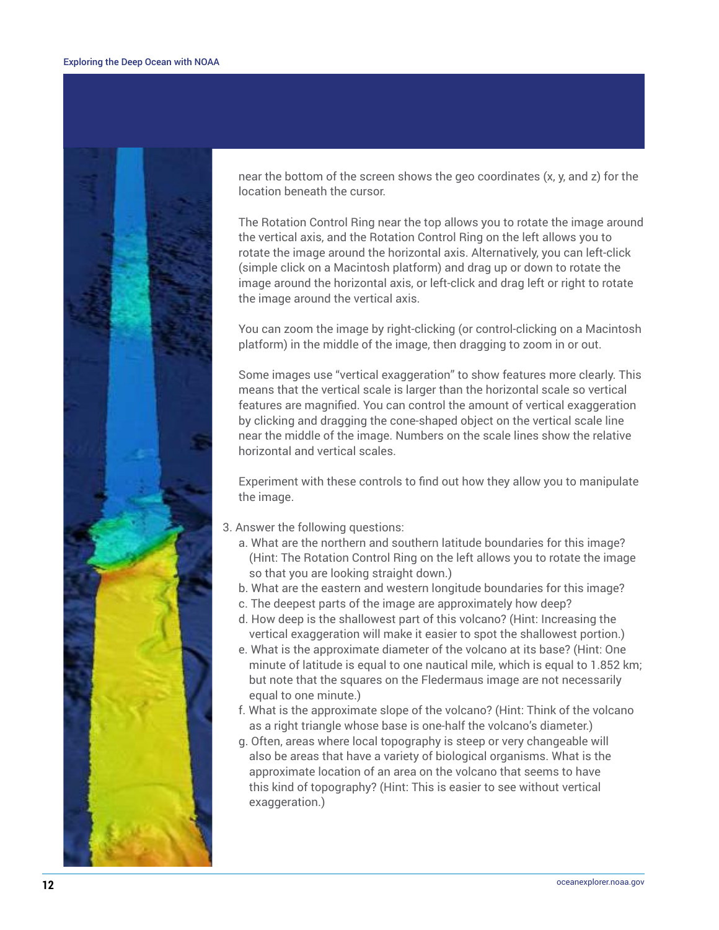

near the bottom of the screen shows the geo coordinates (x, y, and z) for the location beneath the cursor.

The Rotation Control Ring near the top allows you to rotate the image around the vertical axis, and the Rotation Control Ring on the left allows you to rotate the image around the horizontal axis. Alternatively, you can left-click (simple click on a Macintosh platform) and drag up or down to rotate the image around the horizontal axis, or left-click and drag left or right to rotate the image around the vertical axis.

You can zoom the image by right-clicking (or control-clicking on a Macintosh platform) in the middle of the image, then dragging to zoom in or out.

Some images use "vertical exaggeration" to show features more clearly. This means that the vertical scale is larger than the horizontal scale so vertical features are magnified. You can control the amount of vertical exaggeration by clicking and dragging the cone-shaped object on the vertical scale line near the middle of the image. Numbers on the scale lines show the relative horizontal and vertical scales.

Experiment with these controls to find out how they allow you to manipulate the image.

- 3. Answer the following questions:
	- a. What are the northern and southern latitude boundaries for this image? (Hint: The Rotation Control Ring on the left allows you to rotate the image so that you are looking straight down.)
	- b. What are the eastern and western longitude boundaries for this image?
	- c. The deepest parts of the image are approximately how deep?
	- d. How deep is the shallowest part of this volcano? (Hint: Increasing the vertical exaggeration will make it easier to spot the shallowest portion.)
	- e. What is the approximate diameter of the volcano at its base? (Hint: One minute of latitude is equal to one nautical mile, which is equal to 1.852 km; but note that the squares on the Fledermaus image are not necessarily equal to one minute.)
	- f. What is the approximate slope of the volcano? (Hint: Think of the volcano as a right triangle whose base is one-half the volcano's diameter.)
	- g. Often, areas where local topography is steep or very changeable will also be areas that have a variety of biological organisms. What is the approximate location of an area on the volcano that seems to have this kind of topography? (Hint: This is easier to see without vertical exaggeration.)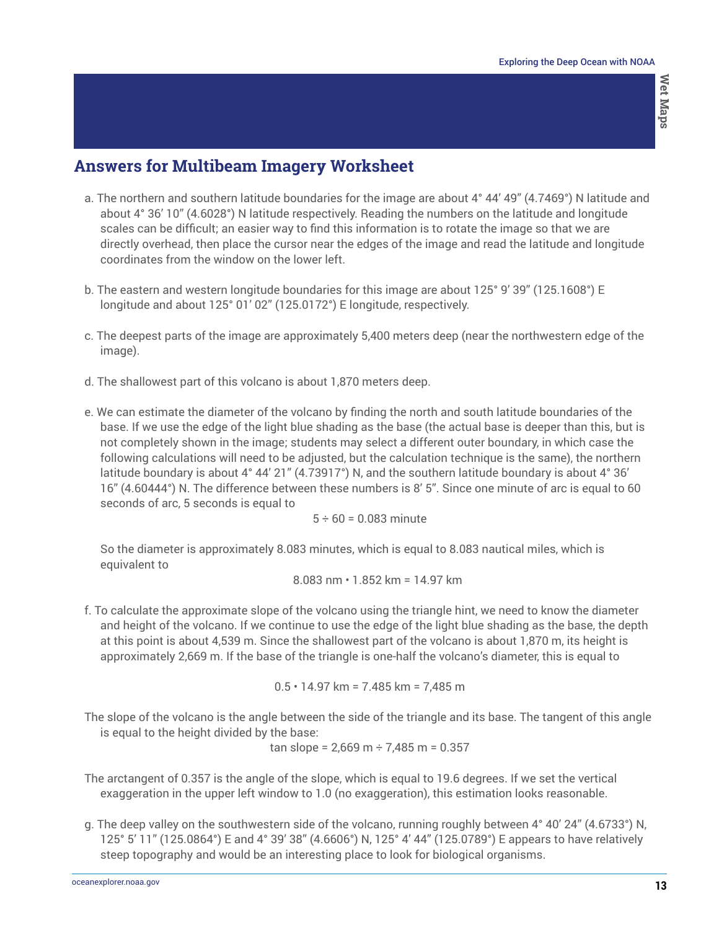# **Answers for Multibeam Imagery Worksheet**

- a. The northern and southern latitude boundaries for the image are about 4° 44' 49" (4.7469°) N latitude and about 4° 36' 10" (4.6028°) N latitude respectively. Reading the numbers on the latitude and longitude scales can be difficult; an easier way to find this information is to rotate the image so that we are directly overhead, then place the cursor near the edges of the image and read the latitude and longitude coordinates from the window on the lower left.
- b. The eastern and western longitude boundaries for this image are about 125° 9' 39" (125.1608°) E longitude and about 125° 01' 02" (125.0172°) E longitude, respectively.
- c. The deepest parts of the image are approximately 5,400 meters deep (near the northwestern edge of the image).
- d. The shallowest part of this volcano is about 1,870 meters deep.
- e. We can estimate the diameter of the volcano by finding the north and south latitude boundaries of the base. If we use the edge of the light blue shading as the base (the actual base is deeper than this, but is not completely shown in the image; students may select a different outer boundary, in which case the following calculations will need to be adjusted, but the calculation technique is the same), the northern latitude boundary is about 4° 44' 21" (4.73917°) N, and the southern latitude boundary is about 4° 36' 16" (4.60444°) N. The difference between these numbers is 8' 5". Since one minute of arc is equal to 60 seconds of arc, 5 seconds is equal to

$$
5 \div 60 = 0.083
$$
 minute

So the diameter is approximately 8.083 minutes, which is equal to 8.083 nautical miles, which is equivalent to

$$
8.083 \text{ nm} \cdot 1.852 \text{ km} = 14.97 \text{ km}
$$

f. To calculate the approximate slope of the volcano using the triangle hint, we need to know the diameter and height of the volcano. If we continue to use the edge of the light blue shading as the base, the depth at this point is about 4,539 m. Since the shallowest part of the volcano is about 1,870 m, its height is approximately 2,669 m. If the base of the triangle is one-half the volcano's diameter, this is equal to

0.5 • 14.97 km = 7.485 km = 7,485 m

The slope of the volcano is the angle between the side of the triangle and its base. The tangent of this angle is equal to the height divided by the base:

tan slope = 2,669 m  $\div$  7,485 m = 0.357

- The arctangent of 0.357 is the angle of the slope, which is equal to 19.6 degrees. If we set the vertical exaggeration in the upper left window to 1.0 (no exaggeration), this estimation looks reasonable.
- g. The deep valley on the southwestern side of the volcano, running roughly between 4° 40' 24" (4.6733°) N, 125° 5' 11" (125.0864°) E and 4° 39' 38" (4.6606°) N, 125° 4' 44" (125.0789°) E appears to have relatively steep topography and would be an interesting place to look for biological organisms.

**13** [oceanexplorer.noaa.gov](http://oceanexplorer.noaa.gov)